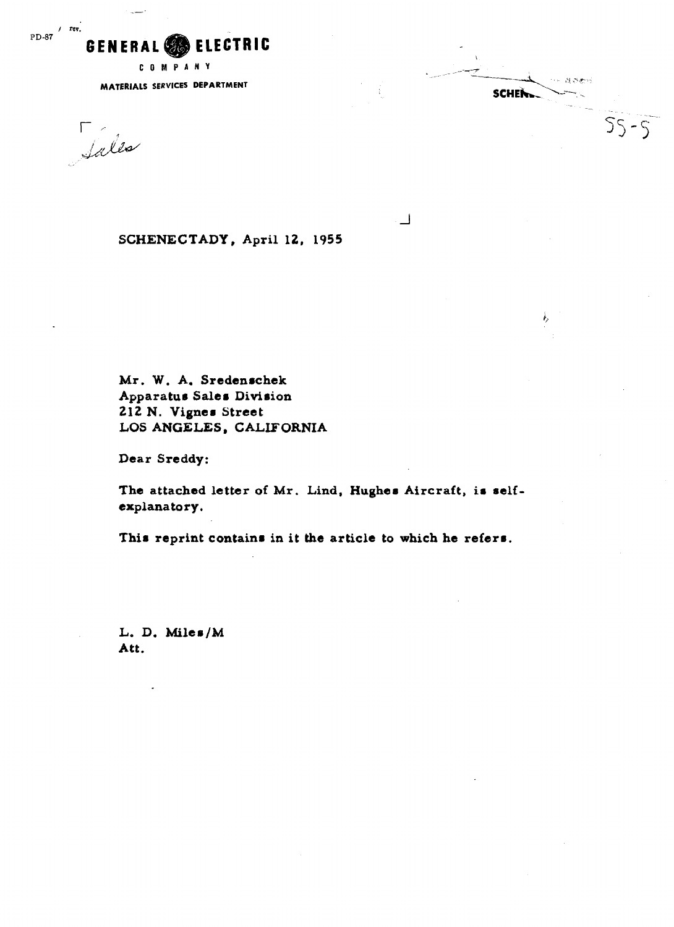

**COMPANY** 

**MATERIALS SERVICES DEPARTMENT** 

Sales

**SCWENECTADY, April 12, 1955** 

**Mr. W. A. Sredenachek Apparatus Sales Division 212 N. Vigner Street LOS ANGELES** , **CALIFORNIA** 

**Dear Sreddy:** 

**The attached letter of Mr. Lind, Hughes Aircraft, ia self explanatory.** 

 $\sqcup$ 

ne alster

ì,

 $55 - 5$ 

**SCHENLL** 

This reprint contains in it the article to which he refers.

**L. D. Miles/M Att.**